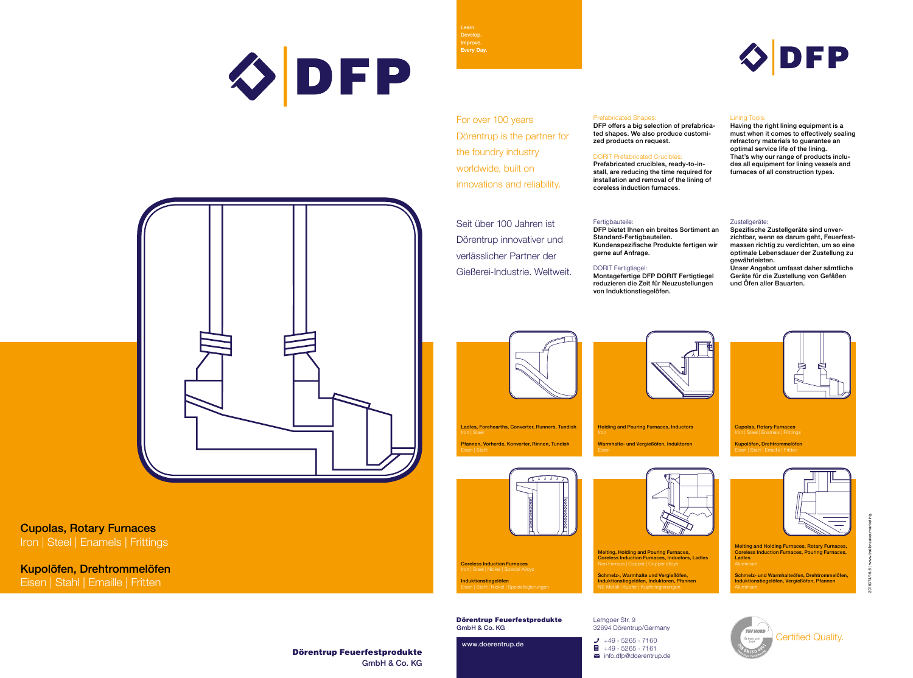

2015074/15.5 | www.trailbreaker.marketing



Cupolas, Rotary Furnaces Iron | Steel | Enamels | Frittings

Kupolöfen, Drehtrommelöfen

Eisen | Stahl | Emaille | Fritten

Dörentrup Feuerfestprodukte GmbH & Co. KG

www.doerentrup.de



Lemgoer Str. 9 32694 Dörentrup/Germany

 $\bigcup$  +49 - 5265 - 7160  $\blacksquare$  +49 - 5265 - 7161  $\blacksquare$  info.dfp@doerentrup.de



Learn. Develop. Improve. **Every Day.**

Certified Quality.

Melting, Holding and Pouring Furnaces, Coreless Induction Furnaces, Inductors, Ladles

Schmelz-, Warmhalte und Vergießöfen, Induktionstiegelöfen, Induktoren, Pfannen NE-Metall | Kupfer | Kupferlegierungen

Melting and Holding Furnaces, Rotary Furnaces, Coreless Induction Furnaces, Pouring Furnaces, Ladles

Schmelz- und Warmhalteöfen, Drehtrommelöfen, Induktionstiegelöfen, Vergießöfen, Pfannen



Holding and Pouring Furnaces, Inductors Warmhalte- und Vergießöfen, Induktoren



Ladles, Forehearths, Converter, Runners, Tundish Pfannen, Vorherde, Konverter, Rinnen, Tundish



Coreless Induction Furnaces Iron | Steel | Nickel | Special Alloys

**Induktionstiegelöfen**<br>Eisen | Stahl | Nickel | Speziallegierungen





Prefabricated Shapes:

DFP offers a big selection of prefabricated shapes. We also produce customized products on request.

## DORIT Prefabricated Crucibles:

Prefabricated crucibles, ready-to-install, are reducing the time required for installation and removal of the lining of coreless induction furnaces.

### Fertigbauteile:

## Lining Tools:

Having the right lining equipment is a must when it comes to effectively sealing refractory materials to guarantee an optimal service life of the lining. That's why our range of products includes all equipment for lining vessels and furnaces of all construction types.

#### Zustellgeräte:

Seit über 100 Jahren ist Dörentrup innovativer und verlässlicher Partner der Gießerei-Industrie. Weltweit.

DFP bietet Ihnen ein breites Sortiment an Standard-Fertigbauteilen. Kundenspezifische Produkte fertigen wir gerne auf Anfrage.

# DORIT Fertigtiegel:

Montagefertige DFP DORIT Fertigtiegel reduzieren die Zeit für Neuzustellungen von Induktionstiegelöfen.



Spezifische Zustellgeräte sind unverzichtbar, wenn es darum geht, Feuerfestmassen richtig zu verdichten, um so eine optimale Lebensdauer der Zustellung zu gewährleisten.

Unser Angebot umfasst daher sämtliche Geräte für die Zustellung von Gefäßen und Öfen aller Bauarten.